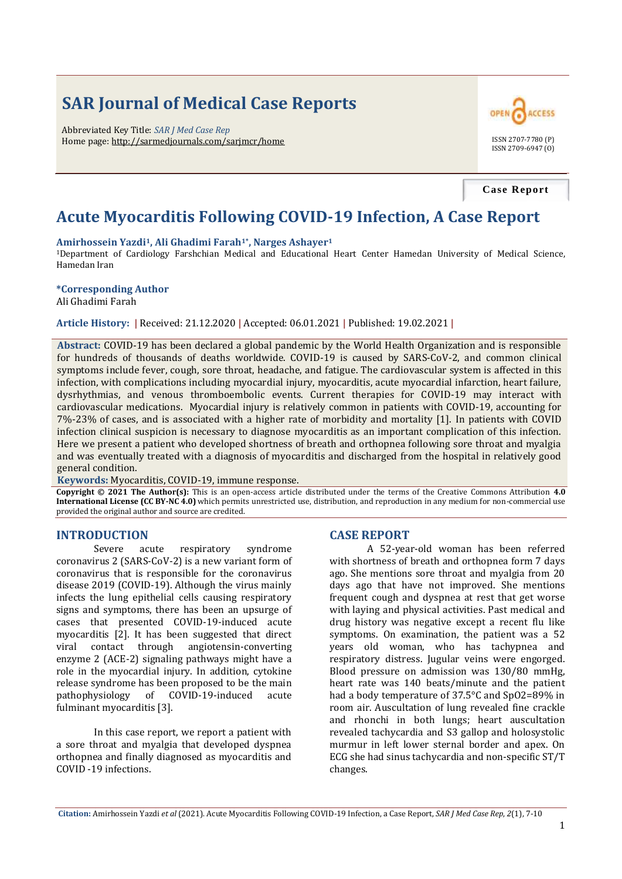# **SAR Journal of Medical Case Reports**

Abbreviated Key Title: *SAR J Med Case Rep* Home page: http://sarmedjournals.com/sarjmcr/home ISSN 2707-7780 (P)



**Case Report**

# **Acute Myocarditis Following COVID-19 Infection, A Case Report**

#### **Amirhossein Yazdi1, Ali Ghadimi Farah1\*, Narges Ashayer<sup>1</sup>**

<sup>1</sup>Department of Cardiology Farshchian Medical and Educational Heart Center Hamedan University of Medical Science, Hamedan Iran

#### **\*Corresponding Author**

Ali Ghadimi Farah

**Article History: |** Received: 21.12.2020 **|** Accepted: 06.01.2021 **|** Published: 19.02.2021 **|**

**Abstract:** COVID-19 has been declared a global pandemic by the World Health Organization and is responsible for hundreds of thousands of deaths worldwide. COVID-19 is caused by SARS-CoV-2, and common clinical symptoms include fever, cough, sore throat, headache, and fatigue. The cardiovascular system is affected in this infection, with complications including myocardial injury, myocarditis, acute myocardial infarction, heart failure, dysrhythmias, and venous thromboembolic events. Current therapies for COVID-19 may interact with cardiovascular medications. Myocardial injury is relatively common in patients with COVID-19, accounting for 7%-23% of cases, and is associated with a higher rate of morbidity and mortality [1]. In patients with COVID infection clinical suspicion is necessary to diagnose myocarditis as an important complication of this infection. Here we present a patient who developed shortness of breath and orthopnea following sore throat and myalgia and was eventually treated with a diagnosis of myocarditis and discharged from the hospital in relatively good general condition.

**Keywords:** Myocarditis, COVID-19, immune response.

**Copyright © 2021 The Author(s):** This is an open-access article distributed under the terms of the Creative Commons Attribution **4.0 International License (CC BY-NC 4.0)** which permits unrestricted use, distribution, and reproduction in any medium for non-commercial use provided the original author and source are credited.

## **INTRODUCTION**

Severe acute respiratory syndrome coronavirus 2 (SARS-CoV-2) is a new variant form of coronavirus that is responsible for the coronavirus disease 2019 (COVID-19). Although the virus mainly infects the lung epithelial cells causing respiratory signs and symptoms, there has been an upsurge of cases that presented COVID-19-induced acute myocarditis [2]. It has been suggested that direct viral contact through angiotensin-converting enzyme 2 (ACE-2) signaling pathways might have a role in the myocardial injury. In addition, cytokine release syndrome has been proposed to be the main pathophysiology of COVID-19-induced acute fulminant myocarditis [3].

In this case report, we report a patient with a sore throat and myalgia that developed dyspnea orthopnea and finally diagnosed as myocarditis and COVID -19 infections.

#### **CASE REPORT**

A 52-year-old woman has been referred with shortness of breath and orthopnea form 7 days ago. She mentions sore throat and myalgia from 20 days ago that have not improved. She mentions frequent cough and dyspnea at rest that get worse with laying and physical activities. Past medical and drug history was negative except a recent flu like symptoms. On examination, the patient was a 52 years old woman, who has tachypnea and respiratory distress. Jugular veins were engorged. Blood pressure on admission was 130/80 mmHg, heart rate was 140 beats/minute and the patient had a body temperature of 37.5°C and SpO2=89% in room air. Auscultation of lung revealed fine crackle and rhonchi in both lungs; heart auscultation revealed tachycardia and S3 gallop and holosystolic murmur in left lower sternal border and apex. On ECG she had sinus tachycardia and non-specific ST/T changes.

**Citation:** Amirhossein Yazdi *et al* (2021). Acute Myocarditis Following COVID-19 Infection, a Case Report, *SAR J Med Case Rep*, *2*(1), 7-10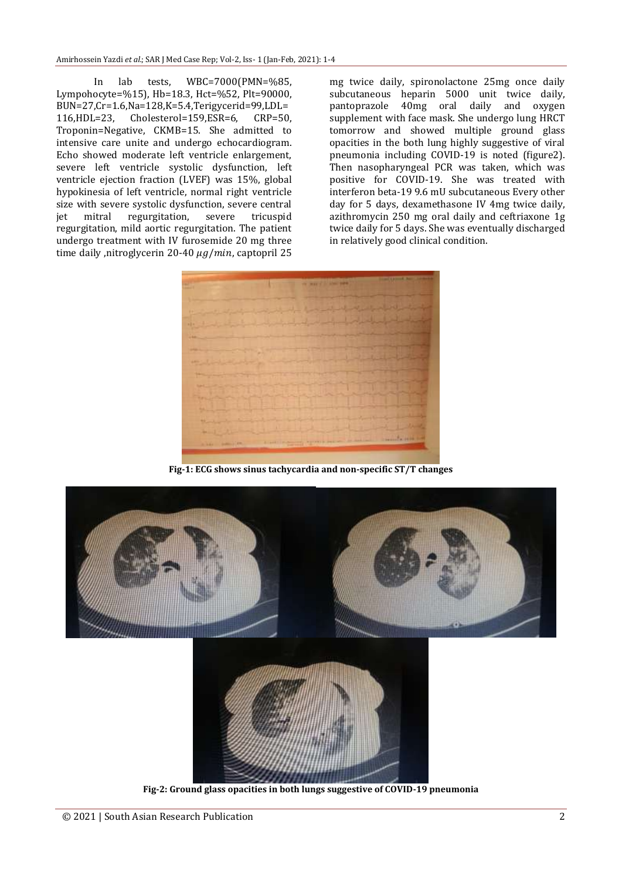In lab tests, WBC=7000(PMN=%85, Lympohocyte=%15), Hb=18.3, Hct=%52, Plt=90000, BUN=27,Cr=1.6,Na=128,K=5.4,Terigycerid=99,LDL= 116,HDL=23, Cholesterol=159,ESR=6, CRP=50, Troponin=Negative, CKMB=15. She admitted to intensive care unite and undergo echocardiogram. Echo showed moderate left ventricle enlargement, severe left ventricle systolic dysfunction, left ventricle ejection fraction (LVEF) was 15%, global hypokinesia of left ventricle, normal right ventricle size with severe systolic dysfunction, severe central jet mitral regurgitation, severe tricuspid regurgitation, mild aortic regurgitation. The patient undergo treatment with IV furosemide 20 mg three time daily ,nitroglycerin 20-40  $\mu$ g/min, captopril 25

mg twice daily, spironolactone 25mg once daily subcutaneous heparin 5000 unit twice daily, pantoprazole 40mg oral daily and oxygen supplement with face mask. She undergo lung HRCT tomorrow and showed multiple ground glass opacities in the both lung highly suggestive of viral pneumonia including COVID-19 is noted (figure2). Then nasopharyngeal PCR was taken, which was positive for COVID-19. She was treated with interferon beta-19 9.6 mU subcutaneous Every other day for 5 days, dexamethasone IV 4mg twice daily, azithromycin 250 mg oral daily and ceftriaxone 1g twice daily for 5 days. She was eventually discharged in relatively good clinical condition.



**Fig-1: ECG shows sinus tachycardia and non-specific ST/T changes**

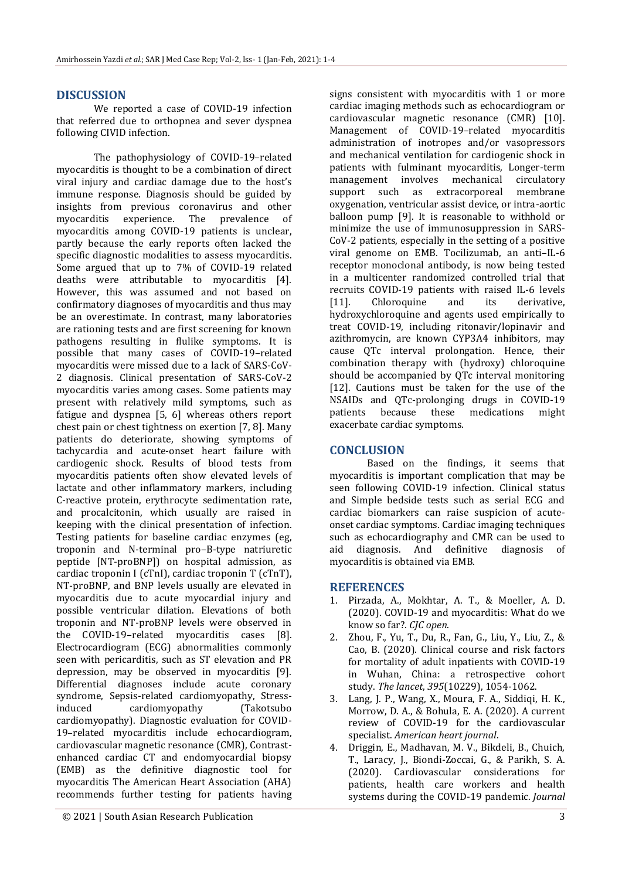# **DISCUSSION**

We reported a case of COVID-19 infection that referred due to orthopnea and sever dyspnea following CIVID infection.

The pathophysiology of COVID-19–related myocarditis is thought to be a combination of direct viral injury and cardiac damage due to the host's immune response. Diagnosis should be guided by insights from previous coronavirus and other myocarditis experience. The prevalence of myocarditis among COVID-19 patients is unclear, partly because the early reports often lacked the specific diagnostic modalities to assess myocarditis. Some argued that up to 7% of COVID-19 related deaths were attributable to myocarditis [4]. However, this was assumed and not based on confirmatory diagnoses of myocarditis and thus may be an overestimate. In contrast, many laboratories are rationing tests and are first screening for known pathogens resulting in flulike symptoms. It is possible that many cases of COVID-19–related myocarditis were missed due to a lack of SARS-CoV-2 diagnosis. Clinical presentation of SARS-CoV-2 myocarditis varies among cases. Some patients may present with relatively mild symptoms, such as fatigue and dyspnea [5, 6] whereas others report chest pain or chest tightness on exertion [7, 8]. Many patients do deteriorate, showing symptoms of tachycardia and acute-onset heart failure with cardiogenic shock. Results of blood tests from myocarditis patients often show elevated levels of lactate and other inflammatory markers, including C-reactive protein, erythrocyte sedimentation rate, and procalcitonin, which usually are raised in keeping with the clinical presentation of infection. Testing patients for baseline cardiac enzymes (eg, troponin and N-terminal pro–B-type natriuretic peptide [NT-proBNP]) on hospital admission, as cardiac troponin I (cTnI), cardiac troponin T (cTnT), NT-proBNP, and BNP levels usually are elevated in myocarditis due to acute myocardial injury and possible ventricular dilation. Elevations of both troponin and NT-proBNP levels were observed in the COVID-19–related myocarditis cases [8]. Electrocardiogram (ECG) abnormalities commonly seen with pericarditis, such as ST elevation and PR depression, may be observed in myocarditis [9]. Differential diagnoses include acute coronary syndrome, Sepsis-related cardiomyopathy, Stressinduced cardiomyopathy (Takotsubo cardiomyopathy). Diagnostic evaluation for COVID-19–related myocarditis include echocardiogram, cardiovascular magnetic resonance (CMR), Contrastenhanced cardiac CT and endomyocardial biopsy (EMB) as the definitive diagnostic tool for myocarditis The American Heart Association (AHA) recommends further testing for patients having

© 2021 | South Asian Research Publication 3

signs consistent with myocarditis with 1 or more cardiac imaging methods such as echocardiogram or cardiovascular magnetic resonance (CMR) [10]. Management of COVID-19–related myocarditis administration of inotropes and/or vasopressors and mechanical ventilation for cardiogenic shock in patients with fulminant myocarditis, Longer-term management involves mechanical circulatory support such as extracorporeal membrane oxygenation, ventricular assist device, or intra-aortic balloon pump [9]. It is reasonable to withhold or minimize the use of immunosuppression in SARS-CoV-2 patients, especially in the setting of a positive viral genome on EMB. Tocilizumab, an anti–IL-6 receptor monoclonal antibody, is now being tested in a multicenter randomized controlled trial that recruits COVID-19 patients with raised IL-6 levels [11]. Chloroquine and its derivative, hydroxychloroquine and agents used empirically to treat COVID-19, including ritonavir/lopinavir and azithromycin, are known CYP3A4 inhibitors, may cause QTc interval prolongation. Hence, their combination therapy with (hydroxy) chloroquine should be accompanied by QTc interval monitoring [12]. Cautions must be taken for the use of the NSAIDs and QTc-prolonging drugs in COVID-19 patients because these medications might exacerbate cardiac symptoms.

## **CONCLUSION**

Based on the findings, it seems that myocarditis is important complication that may be seen following COVID-19 infection. Clinical status and Simple bedside tests such as serial ECG and cardiac biomarkers can raise suspicion of acuteonset cardiac symptoms. Cardiac imaging techniques such as echocardiography and CMR can be used to aid diagnosis. And definitive diagnosis of myocarditis is obtained via EMB.

## **REFERENCES**

- 1. Pirzada, A., Mokhtar, A. T., & Moeller, A. D. (2020). COVID-19 and myocarditis: What do we know so far?. *CJC open*.
- 2. Zhou, F., Yu, T., Du, R., Fan, G., Liu, Y., Liu, Z., & Cao, B. (2020). Clinical course and risk factors for mortality of adult inpatients with COVID-19 in Wuhan, China: a retrospective cohort study. *The lancet*, *395*(10229), 1054-1062.
- 3. Lang, J. P., Wang, X., Moura, F. A., Siddiqi, H. K., Morrow, D. A., & Bohula, E. A. (2020). A current review of COVID-19 for the cardiovascular specialist. *American heart journal*.
- 4. Driggin, E., Madhavan, M. V., Bikdeli, B., Chuich, T., Laracy, J., Biondi-Zoccai, G., & Parikh, S. A. (2020). Cardiovascular considerations for patients, health care workers and health systems during the COVID-19 pandemic. *Journal*